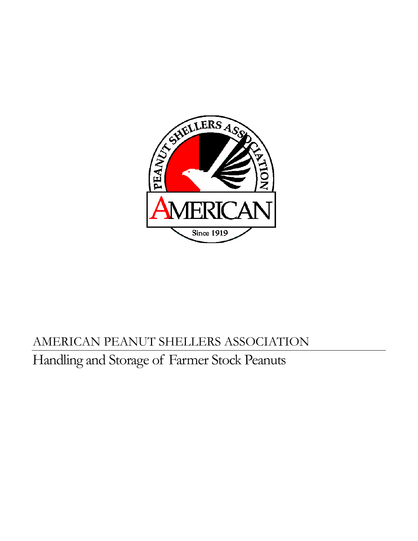

# AMERICAN PEANUT SHELLERS ASSOCIATION Handling and Storage of Farmer Stock Peanuts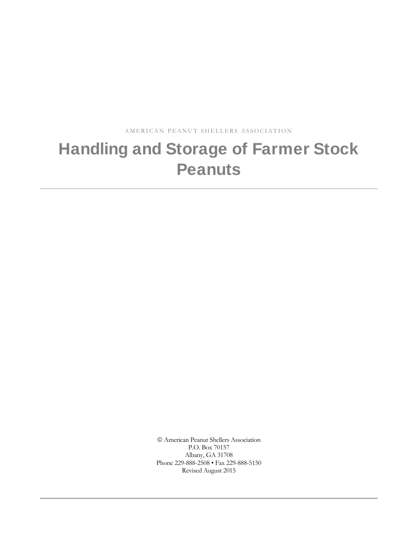AMERICAN PEANUT SHELLERS ASSOCIATION

# Handling and Storage of Farmer Stock **Peanuts**

 American Peanut Shellers Association P.O. Box 70157 Albany, GA 31708 Phone 229-888-2508 • Fax 229-888-5150 Revised August 2015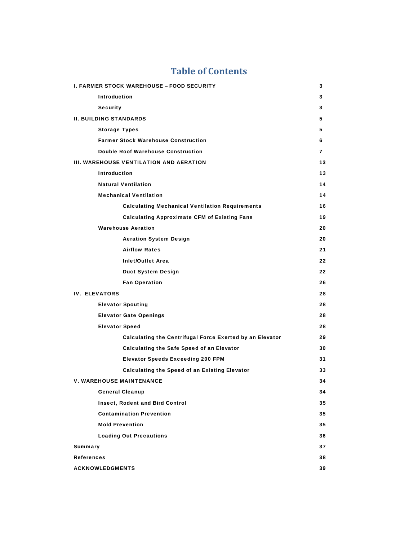| <b>I. FARMER STOCK WAREHOUSE - FOOD SECURITY</b><br>3 |                                                          |    |  |  |  |  |  |  |
|-------------------------------------------------------|----------------------------------------------------------|----|--|--|--|--|--|--|
|                                                       | <b>Introduction</b>                                      | 3  |  |  |  |  |  |  |
|                                                       | <b>Security</b>                                          | 3  |  |  |  |  |  |  |
| <b>II. BUILDING STANDARDS</b>                         |                                                          |    |  |  |  |  |  |  |
|                                                       | <b>Storage Types</b>                                     | 5  |  |  |  |  |  |  |
|                                                       | <b>Farmer Stock Warehouse Construction</b>               | 6  |  |  |  |  |  |  |
|                                                       | <b>Double Roof Warehouse Construction</b>                | 7  |  |  |  |  |  |  |
|                                                       | <b>III. WAREHOUSE VENTILATION AND AERATION</b>           | 13 |  |  |  |  |  |  |
|                                                       | <b>Introduction</b>                                      | 13 |  |  |  |  |  |  |
|                                                       | <b>Natural Ventilation</b>                               | 14 |  |  |  |  |  |  |
|                                                       | <b>Mechanical Ventilation</b>                            | 14 |  |  |  |  |  |  |
|                                                       | <b>Calculating Mechanical Ventilation Requirements</b>   | 16 |  |  |  |  |  |  |
|                                                       | <b>Calculating Approximate CFM of Existing Fans</b>      | 19 |  |  |  |  |  |  |
|                                                       | <b>Warehouse Aeration</b>                                | 20 |  |  |  |  |  |  |
|                                                       | <b>Aeration System Design</b>                            | 20 |  |  |  |  |  |  |
|                                                       | <b>Airflow Rates</b>                                     | 21 |  |  |  |  |  |  |
|                                                       | <b>Inlet/Outlet Area</b>                                 | 22 |  |  |  |  |  |  |
|                                                       | <b>Duct System Design</b>                                | 22 |  |  |  |  |  |  |
|                                                       | <b>Fan Operation</b>                                     | 26 |  |  |  |  |  |  |
| <b>IV. ELEVATORS</b>                                  |                                                          | 28 |  |  |  |  |  |  |
|                                                       | <b>Elevator Spouting</b>                                 | 28 |  |  |  |  |  |  |
|                                                       | <b>Elevator Gate Openings</b>                            | 28 |  |  |  |  |  |  |
|                                                       | <b>Elevator Speed</b>                                    | 28 |  |  |  |  |  |  |
|                                                       | Calculating the Centrifugal Force Exerted by an Elevator | 29 |  |  |  |  |  |  |
|                                                       | Calculating the Safe Speed of an Elevator                | 30 |  |  |  |  |  |  |
|                                                       | <b>Elevator Speeds Exceeding 200 FPM</b>                 | 31 |  |  |  |  |  |  |
|                                                       | Calculating the Speed of an Existing Elevator            | 33 |  |  |  |  |  |  |
|                                                       | <b>V. WAREHOUSE MAINTENANCE</b>                          | 34 |  |  |  |  |  |  |
|                                                       | <b>General Cleanup</b>                                   | 34 |  |  |  |  |  |  |
|                                                       | <b>Insect, Rodent and Bird Control</b>                   | 35 |  |  |  |  |  |  |
|                                                       | <b>Contamination Prevention</b>                          | 35 |  |  |  |  |  |  |
|                                                       | <b>Mold Prevention</b>                                   | 35 |  |  |  |  |  |  |
|                                                       | <b>Loading Out Precautions</b>                           | 36 |  |  |  |  |  |  |
| <b>Summary</b>                                        |                                                          | 37 |  |  |  |  |  |  |
| <b>References</b>                                     |                                                          | 38 |  |  |  |  |  |  |
| <b>ACKNOWLEDGMENTS</b>                                |                                                          |    |  |  |  |  |  |  |
|                                                       | 39                                                       |    |  |  |  |  |  |  |

#### **Table of Contents**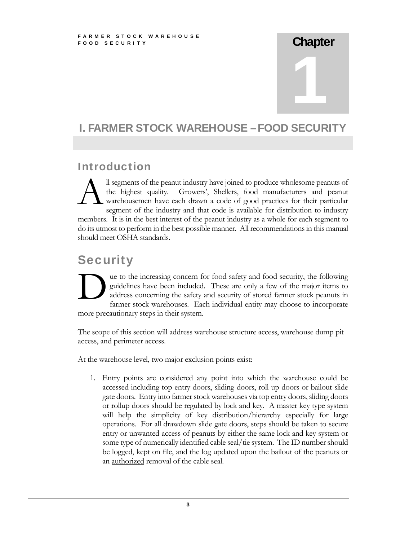# **Chapter** 1

#### I. FARMER STOCK WAREHOUSE – FOOD SECURIT

### Introduction

ll segments of the peanut industry have joined to produce wholesome peanuts of the highest quality. Growers', Shellers, food manufacturers and peanut warehousemen have each drawn a code of good practices for their particular segment of the industry and that code is available for distribution to industry members. It is in the best interest of the peanut industry as a whole for each segment to do its utmost to perform in the best possible manner. All recommendations in this manual should meet OSHA standards.  $\mathbf{A}^{\text{\tiny{ll}\,s}}_{\text{\tiny{w}}\text{\tiny{a}}}$ 

# **Security**

ue to the increasing concern for food safety and food security, the following guidelines have been included. These are only a few of the major items to address concerning the safety and security of stored farmer stock peanuts in farmer stock warehouses. Each individual entity may choose to incorporate more precautionary steps in their system. ad guad far

The scope of this section will address warehouse structure access, warehouse dump pit access, and perimeter access.

At the warehouse level, two major exclusion points exist:

1. Entry points are considered any point into which the warehouse could be accessed including top entry doors, sliding doors, roll up doors or bailout slide gate doors. Entry into farmer stock warehouses via top entry doors, sliding doors or rollup doors should be regulated by lock and key. A master key type system will help the simplicity of key distribution/hierarchy especially for large operations. For all drawdown slide gate doors, steps should be taken to secure entry or unwanted access of peanuts by either the same lock and key system or some type of numerically identified cable seal/tie system. The ID number should be logged, kept on file, and the log updated upon the bailout of the peanuts or an authorized removal of the cable seal.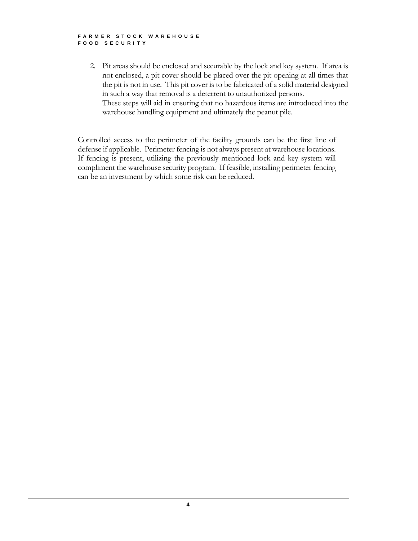#### FARMER STOCK WAREHOUSE FOOD SECURITY

2. Pit areas should be enclosed and securable by the lock and key system. If area is not enclosed, a pit cover should be placed over the pit opening at all times that the pit is not in use. This pit cover is to be fabricated of a solid material designed in such a way that removal is a deterrent to unauthorized persons. These steps will aid in ensuring that no hazardous items are introduced into the warehouse handling equipment and ultimately the peanut pile.

Controlled access to the perimeter of the facility grounds can be the first line of defense if applicable. Perimeter fencing is not always present at warehouse locations. If fencing is present, utilizing the previously mentioned lock and key system will compliment the warehouse security program. If feasible, installing perimeter fencing can be an investment by which some risk can be reduced.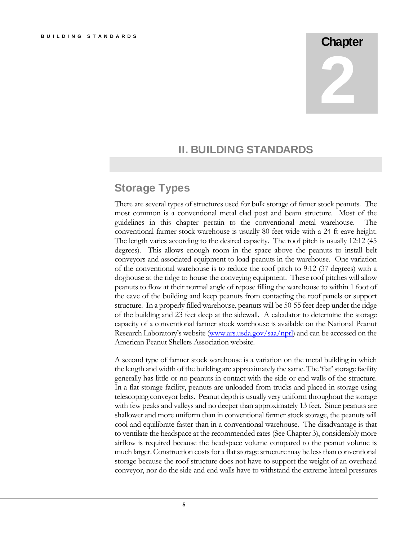# **Chapter**

2

#### II. BUILDING STANDARDS

#### Storage Types

There are several types of structures used for bulk storage of famer stock peanuts. The most common is a conventional metal clad post and beam structure. Most of the guidelines in this chapter pertain to the conventional metal warehouse. The conventional farmer stock warehouse is usually 80 feet wide with a 24 ft eave height. The length varies according to the desired capacity. The roof pitch is usually 12:12 (45 degrees). This allows enough room in the space above the peanuts to install belt conveyors and associated equipment to load peanuts in the warehouse. One variation of the conventional warehouse is to reduce the roof pitch to 9:12 (37 degrees) with a doghouse at the ridge to house the conveying equipment. These roof pitches will allow peanuts to flow at their normal angle of repose filling the warehouse to within 1 foot of the eave of the building and keep peanuts from contacting the roof panels or support structure. In a properly filled warehouse, peanuts will be 50-55 feet deep under the ridge of the building and 23 feet deep at the sidewall. A calculator to determine the storage capacity of a conventional farmer stock warehouse is available on the National Peanut Research Laboratory's website (www.ars.usda.gov/saa/nprl) and can be accessed on the American Peanut Shellers Association website.

A second type of farmer stock warehouse is a variation on the metal building in which the length and width of the building are approximately the same. The 'flat' storage facility generally has little or no peanuts in contact with the side or end walls of the structure. In a flat storage facility, peanuts are unloaded from trucks and placed in storage using telescoping conveyor belts. Peanut depth is usually very uniform throughout the storage with few peaks and valleys and no deeper than approximately 13 feet. Since peanuts are shallower and more uniform than in conventional farmer stock storage, the peanuts will cool and equilibrate faster than in a conventional warehouse. The disadvantage is that to ventilate the headspace at the recommended rates (See Chapter 3), considerably more airflow is required because the headspace volume compared to the peanut volume is much larger. Construction costs for a flat storage structure may be less than conventional storage because the roof structure does not have to support the weight of an overhead conveyor, nor do the side and end walls have to withstand the extreme lateral pressures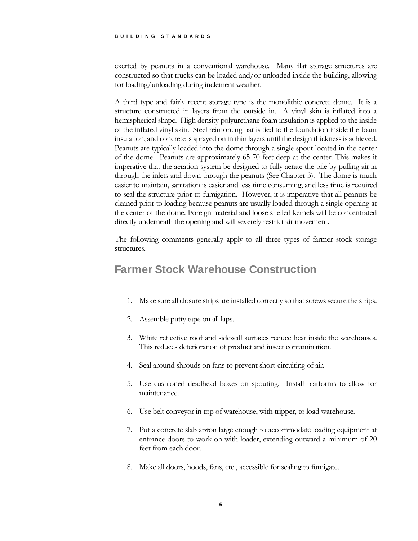exerted by peanuts in a conventional warehouse. Many flat storage structures are constructed so that trucks can be loaded and/or unloaded inside the building, allowing for loading/unloading during inclement weather.

A third type and fairly recent storage type is the monolithic concrete dome. It is a structure constructed in layers from the outside in. A vinyl skin is inflated into a hemispherical shape. High density polyurethane foam insulation is applied to the inside of the inflated vinyl skin. Steel reinforcing bar is tied to the foundation inside the foam insulation, and concrete is sprayed on in thin layers until the design thickness is achieved. Peanuts are typically loaded into the dome through a single spout located in the center of the dome. Peanuts are approximately 65-70 feet deep at the center. This makes it imperative that the aeration system be designed to fully aerate the pile by pulling air in through the inlets and down through the peanuts (See Chapter 3). The dome is much easier to maintain, sanitation is easier and less time consuming, and less time is required to seal the structure prior to fumigation. However, it is imperative that all peanuts be cleaned prior to loading because peanuts are usually loaded through a single opening at the center of the dome. Foreign material and loose shelled kernels will be concentrated directly underneath the opening and will severely restrict air movement.

The following comments generally apply to all three types of farmer stock storage structures.

#### Farmer Stock Warehouse Construction

- 1. Make sure all closure strips are installed correctly so that screws secure the strips.
- 2. Assemble putty tape on all laps.
- 3. White reflective roof and sidewall surfaces reduce heat inside the warehouses. This reduces deterioration of product and insect contamination.
- 4. Seal around shrouds on fans to prevent short-circuiting of air.
- 5. Use cushioned deadhead boxes on spouting. Install platforms to allow for maintenance.
- 6. Use belt conveyor in top of warehouse, with tripper, to load warehouse.
- 7. Put a concrete slab apron large enough to accommodate loading equipment at entrance doors to work on with loader, extending outward a minimum of 20 feet from each door.
- 8. Make all doors, hoods, fans, etc., accessible for sealing to fumigate.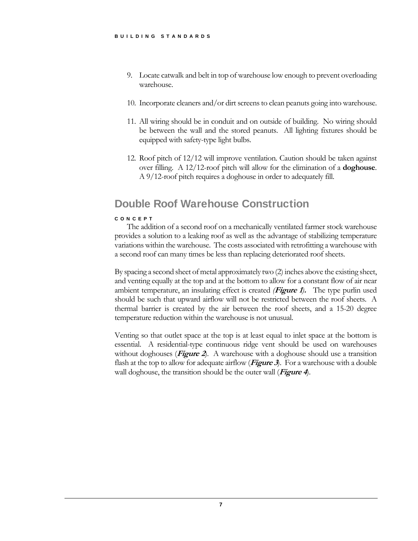- 9. Locate catwalk and belt in top of warehouse low enough to prevent overloading warehouse.
- 10. Incorporate cleaners and/or dirt screens to clean peanuts going into warehouse.
- 11. All wiring should be in conduit and on outside of building. No wiring should be between the wall and the stored peanuts. All lighting fixtures should be equipped with safety-type light bulbs.
- 12. Roof pitch of 12/12 will improve ventilation. Caution should be taken against over filling. A 12/12-roof pitch will allow for the elimination of a **doghouse**. A 9/12-roof pitch requires a doghouse in order to adequately fill.

#### Double Roof Warehouse Construction

#### CONCEPT

The addition of a second roof on a mechanically ventilated farmer stock warehouse provides a solution to a leaking roof as well as the advantage of stabilizing temperature variations within the warehouse. The costs associated with retrofitting a warehouse with a second roof can many times be less than replacing deteriorated roof sheets.

By spacing a second sheet of metal approximately two (2) inches above the existing sheet, and venting equally at the top and at the bottom to allow for a constant flow of air near ambient temperature, an insulating effect is created *(***Figure 1***)***.** The type purlin used should be such that upward airflow will not be restricted between the roof sheets. A thermal barrier is created by the air between the roof sheets, and a 15-20 degree temperature reduction within the warehouse is not unusual.

Venting so that outlet space at the top is at least equal to inlet space at the bottom is essential. A residential-type continuous ridge vent should be used on warehouses without doghouses (**Figure 2**). A warehouse with a doghouse should use a transition flash at the top to allow for adequate airflow (**Figure 3**). For a warehouse with a double wall doghouse, the transition should be the outer wall (**Figure 4**).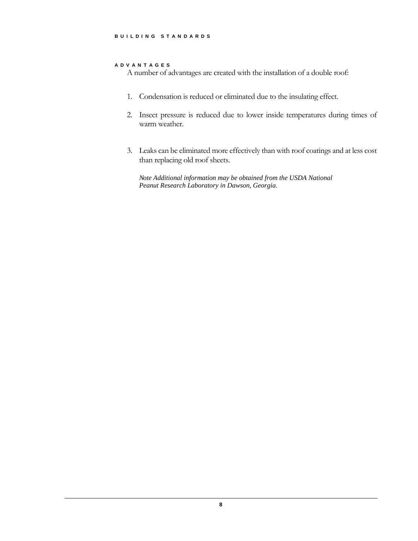#### ADVANTAGES

A number of advantages are created with the installation of a double roof:

- 1. Condensation is reduced or eliminated due to the insulating effect.
- 2. Insect pressure is reduced due to lower inside temperatures during times of warm weather.
- 3. Leaks can be eliminated more effectively than with roof coatings and at less cost than replacing old roof sheets.

*Note Additional information may be obtained from the USDA National Peanut Research Laboratory in Dawson, Georgia.*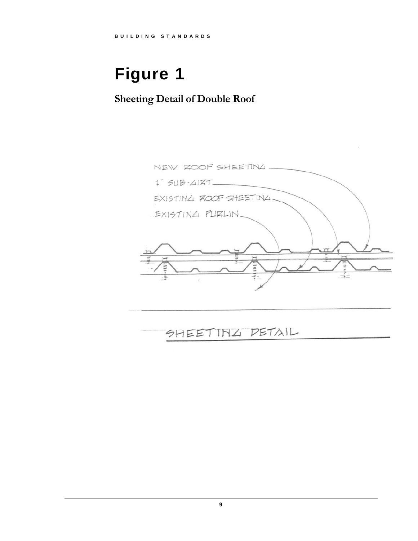# Figure 1.

# **Sheeting Detail of Double Roof**



# SHEETING DETAIL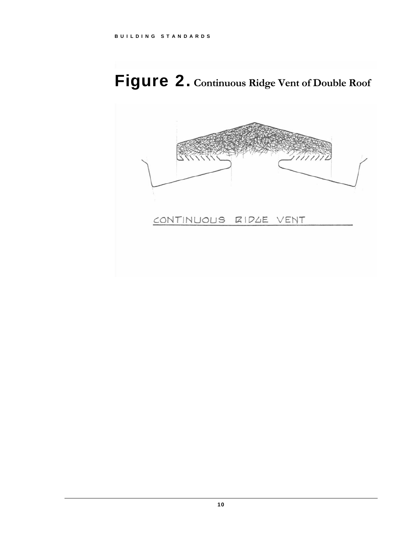# Figure 2. **Continuous Ridge Vent of Double Roof**

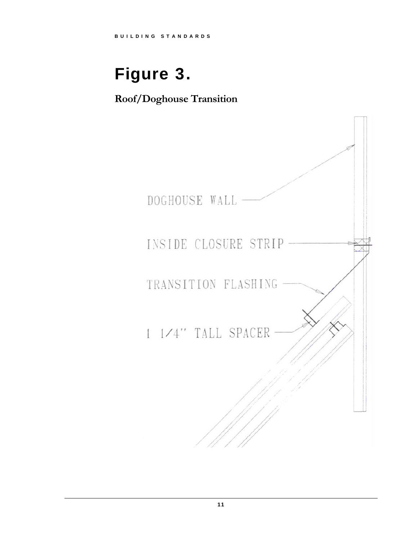# Figure 3.

**Roof/Doghouse Transition**

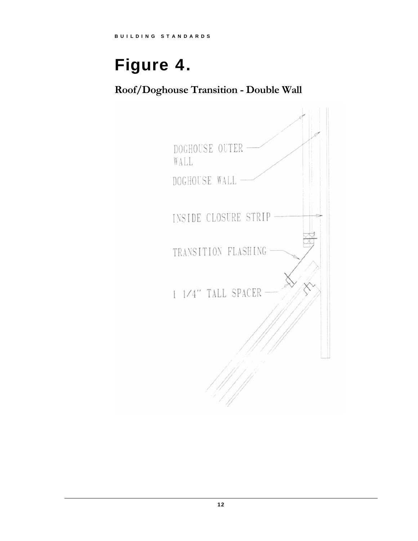# Figure 4.

**Roof/Doghouse Transition - Double Wall** 

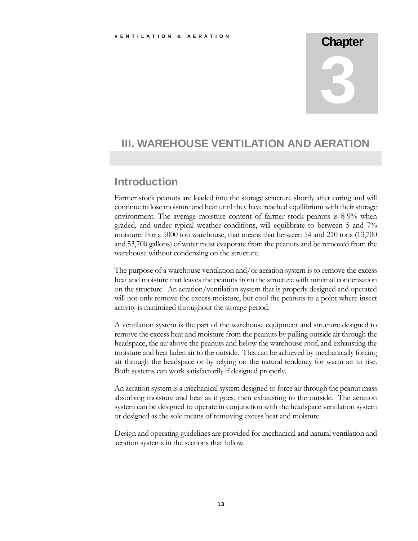# **Chapter** 3

#### III. WAREHOUSE VENTILATION AND AERATION

#### **Introduction**

Farmer stock peanuts are loaded into the storage structure shortly after curing and will continue to lose moisture and heat until they have reached equilibrium with their storage environment. The average moisture content of farmer stock peanuts is 8-9% when graded, and under typical weather conditions, will equilibrate to between 5 and 7% moisture. For a 5000 ton warehouse, that means that between 54 and 210 tons (13,700 and 53,700 gallons) of water must evaporate from the peanuts and be removed from the warehouse without condensing on the structure.

The purpose of a warehouse ventilation and/or aeration system is to remove the excess heat and moisture that leaves the peanuts from the structure with minimal condensation on the structure. An aeration/ventilation system that is properly designed and operated will not only remove the excess moisture, but cool the peanuts to a point where insect activity is minimized throughout the storage period.

A ventilation system is the part of the warehouse equipment and structure designed to remove the excess heat and moisture from the peanuts by pulling outside air through the headspace, the air above the peanuts and below the warehouse roof, and exhausting the moisture and heat laden air to the outside. This can be achieved by mechanically forcing air through the headspace or by relying on the natural tendency for warm air to rise. Both systems can work satisfactorily if designed properly.

An aeration system is a mechanical system designed to force air through the peanut mass absorbing moisture and heat as it goes, then exhausting to the outside. The aeration system can be designed to operate in conjunction with the headspace ventilation system or designed as the sole means of removing excess heat and moisture.

Design and operating guidelines are provided for mechanical and natural ventilation and aeration systems in the sections that follow.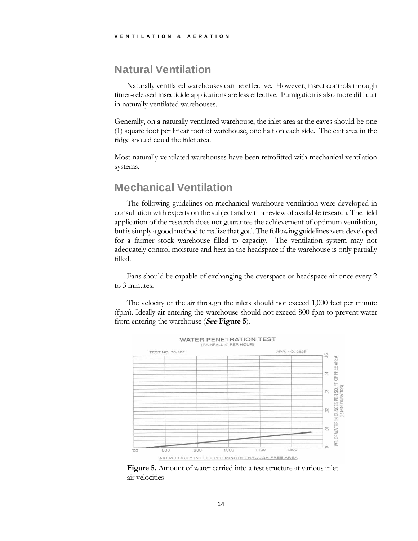#### Natural Ventilation

Naturally ventilated warehouses can be effective. However, insect controls through timer-released insecticide applications are less effective. Fumigation is also more difficult in naturally ventilated warehouses.

Generally, on a naturally ventilated warehouse, the inlet area at the eaves should be one (1) square foot per linear foot of warehouse, one half on each side. The exit area in the ridge should equal the inlet area.

Most naturally ventilated warehouses have been retrofitted with mechanical ventilation systems.

#### Mechanical Ventilation

The following guidelines on mechanical warehouse ventilation were developed in consultation with experts on the subject and with a review of available research. The field application of the research does not guarantee the achievement of optimum ventilation, but is simply a good method to realize that goal. The following guidelines were developed for a farmer stock warehouse filled to capacity. The ventilation system may not adequately control moisture and heat in the headspace if the warehouse is only partially filled.

Fans should be capable of exchanging the overspace or headspace air once every 2 to 3 minutes.

The velocity of the air through the inlets should not exceed 1,000 feet per minute (fpm). Ideally air entering the warehouse should not exceed 800 fpm to prevent water from entering the warehouse (**See Figure 5**).



 **Figure 5.** Amount of water carried into a test structure at various inlet air velocities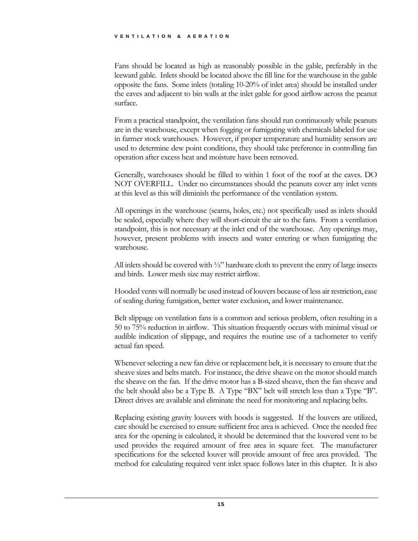#### VENTILATION & AERATION

Fans should be located as high as reasonably possible in the gable, preferably in the leeward gable. Inlets should be located above the fill line for the warehouse in the gable opposite the fans. Some inlets (totaling 10-20% of inlet area) should be installed under the eaves and adjacent to bin walls at the inlet gable for good airflow across the peanut surface.

From a practical standpoint, the ventilation fans should run continuously while peanuts are in the warehouse, except when fogging or fumigating with chemicals labeled for use in farmer stock warehouses. However, if proper temperature and humidity sensors are used to determine dew point conditions, they should take preference in controlling fan operation after excess heat and moisture have been removed.

Generally, warehouses should be filled to within 1 foot of the roof at the eaves. DO NOT OVERFILL. Under no circumstances should the peanuts cover any inlet vents at this level as this will diminish the performance of the ventilation system.

All openings in the warehouse (seams, holes, etc.) not specifically used as inlets should be sealed, especially where they will short-circuit the air to the fans. From a ventilation standpoint, this is not necessary at the inlet end of the warehouse. Any openings may, however, present problems with insects and water entering or when fumigating the warehouse.

All inlets should be covered with  $\frac{1}{2}$ " hardware cloth to prevent the entry of large insects and birds. Lower mesh size may restrict airflow.

Hooded vents will normally be used instead of louvers because of less air restriction, ease of sealing during fumigation, better water exclusion, and lower maintenance.

Belt slippage on ventilation fans is a common and serious problem, often resulting in a 50 to 75% reduction in airflow. This situation frequently occurs with minimal visual or audible indication of slippage, and requires the routine use of a tachometer to verify actual fan speed.

Whenever selecting a new fan drive or replacement belt, it is necessary to ensure that the sheave sizes and belts match. For instance, the drive sheave on the motor should match the sheave on the fan. If the drive motor has a B-sized sheave, then the fan sheave and the belt should also be a Type B. A Type "BX" belt will stretch less than a Type "B". Direct drives are available and eliminate the need for monitoring and replacing belts.

Replacing existing gravity louvers with hoods is suggested. If the louvers are utilized, care should be exercised to ensure sufficient free area is achieved. Once the needed free area for the opening is calculated, it should be determined that the louvered vent to be used provides the required amount of free area in square feet. The manufacturer specifications for the selected louver will provide amount of free area provided. The method for calculating required vent inlet space follows later in this chapter. It is also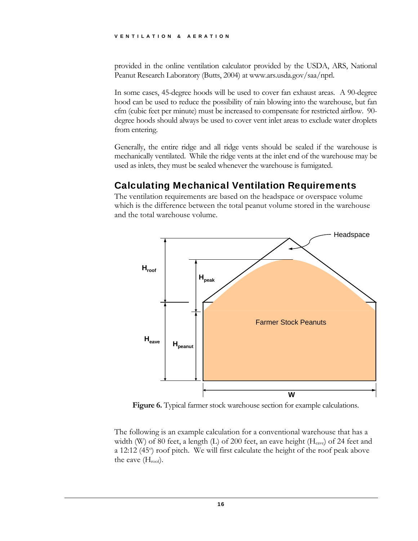provided in the online ventilation calculator provided by the USDA, ARS, National Peanut Research Laboratory (Butts, 2004) at www.ars.usda.gov/saa/nprl.

In some cases, 45-degree hoods will be used to cover fan exhaust areas. A 90-degree hood can be used to reduce the possibility of rain blowing into the warehouse, but fan cfm (cubic feet per minute) must be increased to compensate for restricted airflow. 90 degree hoods should always be used to cover vent inlet areas to exclude water droplets from entering.

Generally, the entire ridge and all ridge vents should be sealed if the warehouse is mechanically ventilated. While the ridge vents at the inlet end of the warehouse may be used as inlets, they must be sealed whenever the warehouse is fumigated.

#### Calculating Mechanical Ventilation Requirements

The ventilation requirements are based on the headspace or overspace volume which is the difference between the total peanut volume stored in the warehouse and the total warehouse volume.



**Figure 6.** Typical farmer stock warehouse section for example calculations.

The following is an example calculation for a conventional warehouse that has a width (W) of 80 feet, a length (L) of 200 feet, an eave height ( $H_{\text{cave}}$ ) of 24 feet and a 12:12 (45°) roof pitch. We will first calculate the height of the roof peak above the eave  $(H_{\text{roof}})$ .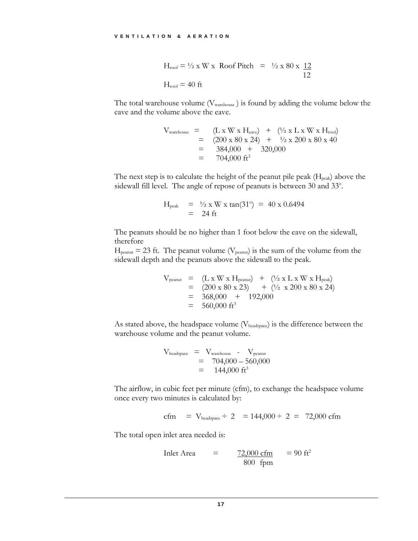$$
H_{\text{roof}} = \frac{1}{2} \times W \times \text{Roof} \text{Pitch} = \frac{1}{2} \times 80 \times \frac{12}{12}
$$

$$
H_{\text{roof}} = 40 \text{ ft}
$$

The total warehouse volume  $(V_{\text{warehouse}})$  is found by adding the volume below the eave and the volume above the eave.

$$
V_{\text{warehouse}} = (L \times W \times H_{\text{eave}}) + (\frac{1}{2} \times L \times W \times H_{\text{roof}})
$$
  
= (200 x 80 x 24) +  $\frac{1}{2}$  x 200 x 80 x 40  
= 384,000 + 320,000  
= 704,000 ft<sup>3</sup>

The next step is to calculate the height of the peanut pile peak  $(H_{peak})$  above the sidewall fill level. The angle of repose of peanuts is between 30 and 33°.

$$
H_{\text{peak}} = \frac{1}{2} \times W \times \tan(31^{\circ}) = 40 \times 0.6494
$$
  
= 24 ft

The peanuts should be no higher than 1 foot below the eave on the sidewall, therefore

 $H_{\text{peanut}} = 23$  ft. The peanut volume ( $V_{\text{peanut}}$ ) is the sum of the volume from the sidewall depth and the peanuts above the sidewall to the peak.

$$
V_{\text{peanut}} = (L \times W \times H_{\text{peanut}}) + (\frac{1}{2} \times L \times W \times H_{\text{peak}})
$$
  
= (200 x 80 x 23) + (\frac{1}{2} \times 200 \times 80 \times 24)  
= 368,000 + 192,000  
= 560,000 ft<sup>3</sup>

As stated above, the headspace volume ( $V_{\text{headspace}}$ ) is the difference between the warehouse volume and the peanut volume.

$$
V_{\text{headspace}} = V_{\text{warehouse}} - V_{\text{peanut}}
$$
  
= 704,000 - 560,000  
= 144,000 ft<sup>3</sup>

The airflow, in cubic feet per minute (cfm), to exchange the headspace volume once every two minutes is calculated by:

$$
cfm = V_{\text{headspace}} \div 2 = 144,000 \div 2 = 72,000 \text{ cfm}
$$

The total open inlet area needed is:

$$
Inlet Area = \frac{72,000 \text{ cfm}}{800 \text{ fpm}} = 90 \text{ ft}^2
$$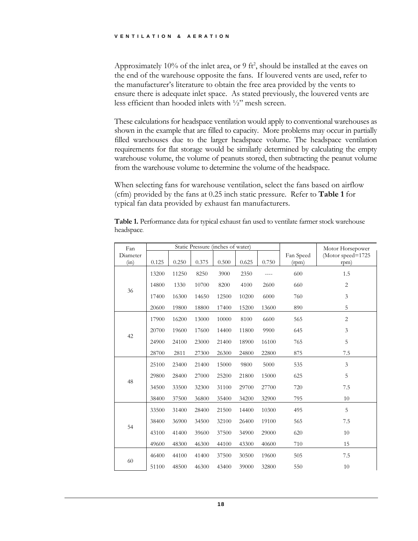Approximately 10% of the inlet area, or  $9 \text{ ft}^2$ , should be installed at the eaves on the end of the warehouse opposite the fans. If louvered vents are used, refer to the manufacturer's literature to obtain the free area provided by the vents to ensure there is adequate inlet space. As stated previously, the louvered vents are less efficient than hooded inlets with ½" mesh screen.

These calculations for headspace ventilation would apply to conventional warehouses as shown in the example that are filled to capacity. More problems may occur in partially filled warehouses due to the larger headspace volume. The headspace ventilation requirements for flat storage would be similarly determined by calculating the empty warehouse volume, the volume of peanuts stored, then subtracting the peanut volume from the warehouse volume to determine the volume of the headspace.

When selecting fans for warehouse ventilation, select the fans based on airflow (cfm) provided by the fans at 0.25 inch static pressure. Refer to **Table 1** for typical fan data provided by exhaust fan manufacturers.

| Fan              |       |       |       | Static Pressure (inches of water) |       | Motor Horsepower |                    |                           |
|------------------|-------|-------|-------|-----------------------------------|-------|------------------|--------------------|---------------------------|
| Diameter<br>(in) | 0.125 | 0.250 | 0.375 | 0.500                             | 0.625 | 0.750            | Fan Speed<br>(rpm) | (Motor speed=1725<br>rpm) |
|                  | 13200 | 11250 | 8250  | 3900                              | 2350  |                  | 600                | 1.5                       |
|                  | 14800 | 1330  | 10700 | 8200                              | 4100  | 2600             | 660                | $\overline{c}$            |
| 36               | 17400 | 16300 | 14650 | 12500                             | 10200 | 6000             | 760                | 3                         |
|                  | 20600 | 19800 | 18800 | 17400                             | 15200 | 13600            | 890                | 5                         |
|                  | 17900 | 16200 | 13000 | 10000                             | 8100  | 6600             | 565                | $\overline{2}$            |
| 42               | 20700 | 19600 | 17600 | 14400                             | 11800 | 9900             | 645                | 3                         |
|                  | 24900 | 24100 | 23000 | 21400                             | 18900 | 16100            | 765                | 5                         |
|                  | 28700 | 2811  | 27300 | 26300                             | 24800 | 22800            | 875                | 7.5                       |
|                  | 25100 | 23400 | 21400 | 15000                             | 9800  | 5000             | 535                | 3                         |
| 48               | 29800 | 28400 | 27000 | 25200                             | 21800 | 15000            | 625                | 5                         |
|                  | 34500 | 33500 | 32300 | 31100                             | 29700 | 27700            | 720                | 7.5                       |
|                  | 38400 | 37500 | 36800 | 35400                             | 34200 | 32900            | 795                | 10                        |
| 54               | 33500 | 31400 | 28400 | 21500                             | 14400 | 10300            | 495                | 5                         |
|                  | 38400 | 36900 | 34500 | 32100                             | 26400 | 19100            | 565                | 7.5                       |
|                  | 43100 | 41400 | 39600 | 37500                             | 34900 | 29000            | 620                | 10                        |
|                  | 49600 | 48300 | 46300 | 44100                             | 43300 | 40600            | 710                | 15                        |
| 60               | 46400 | 44100 | 41400 | 37500                             | 30500 | 19600            | 505                | 7.5                       |
|                  | 51100 | 48500 | 46300 | 43400                             | 39000 | 32800            | 550                | 10                        |

**Table 1.** Performance data for typical exhaust fan used to ventilate farmer stock warehouse headspace.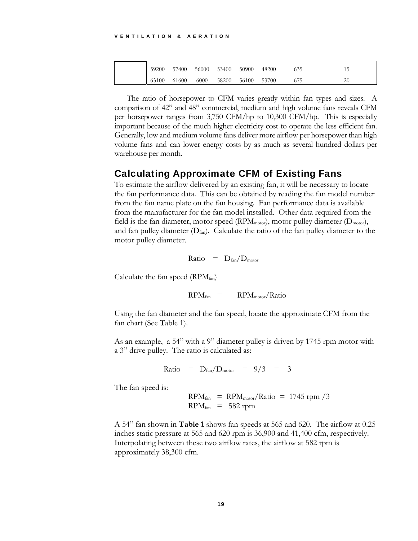| 59200 |       |      |                   | 57400 56000 53400 50900 48200 | 635 |  |
|-------|-------|------|-------------------|-------------------------------|-----|--|
| 63100 | 61600 | 6000 | 58200 56100 53700 |                               | 675 |  |

The ratio of horsepower to CFM varies greatly within fan types and sizes. A comparison of 42" and 48" commercial, medium and high volume fans reveals CFM per horsepower ranges from 3,750 CFM/hp to 10,300 CFM/hp. This is especially important because of the much higher electricity cost to operate the less efficient fan. Generally, low and medium volume fans deliver more airflow per horsepower than high volume fans and can lower energy costs by as much as several hundred dollars per warehouse per month.

#### Calculating Approximate CFM of Existing Fans

To estimate the airflow delivered by an existing fan, it will be necessary to locate the fan performance data. This can be obtained by reading the fan model number from the fan name plate on the fan housing. Fan performance data is available from the manufacturer for the fan model installed. Other data required from the field is the fan diameter, motor speed ( $RPM<sub>motor</sub>$ ), motor pulley diameter ( $D<sub>motor</sub>$ ), and fan pulley diameter  $(D<sub>fan</sub>)$ . Calculate the ratio of the fan pulley diameter to the motor pulley diameter.

Ratio = 
$$
D_{fan}/D_{motor}
$$

Calculate the fan speed  $(RPM<sub>fan</sub>)$ 

$$
RPM_{fan} = RPM_{motor}/Ratio
$$

Using the fan diameter and the fan speed, locate the approximate CFM from the fan chart (See Table 1).

As an example, a 54" with a 9" diameter pulley is driven by 1745 rpm motor with a 3" drive pulley. The ratio is calculated as:

Ratio = 
$$
D_{fan}/D_{motor}
$$
 =  $9/3$  = 3

The fan speed is:

 $RPM_{fan}$  =  $RPM_{motor}/Ratio$  = 1745 rpm /3  $RPM<sub>fan</sub> = 582$  rpm

A 54" fan shown in **Table 1** shows fan speeds at 565 and 620. The airflow at 0.25 inches static pressure at 565 and 620 rpm is 36,900 and 41,400 cfm, respectively. Interpolating between these two airflow rates, the airflow at 582 rpm is approximately 38,300 cfm.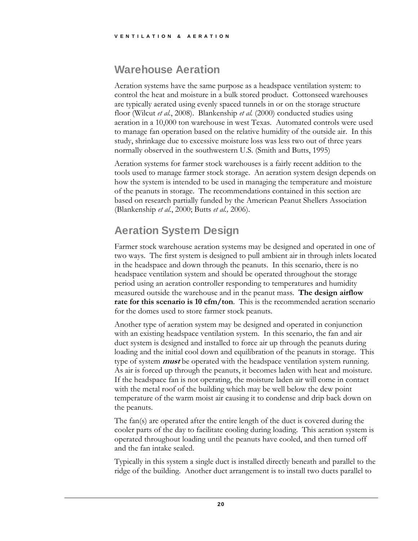## Warehouse Aeration

Aeration systems have the same purpose as a headspace ventilation system: to control the heat and moisture in a bulk stored product. Cottonseed warehouses are typically aerated using evenly spaced tunnels in or on the storage structure floor (Wilcut *et al.*, 2008). Blankenship *et al.* (2000) conducted studies using aeration in a 10,000 ton warehouse in west Texas. Automated controls were used to manage fan operation based on the relative humidity of the outside air. In this study, shrinkage due to excessive moisture loss was less two out of three years normally observed in the southwestern U.S. (Smith and Butts, 1995)

Aeration systems for farmer stock warehouses is a fairly recent addition to the tools used to manage farmer stock storage. An aeration system design depends on how the system is intended to be used in managing the temperature and moisture of the peanuts in storage. The recommendations contained in this section are based on research partially funded by the American Peanut Shellers Association (Blankenship *et al.*, 2000; Butts *et al.,* 2006).

# Aeration System Design

Farmer stock warehouse aeration systems may be designed and operated in one of two ways. The first system is designed to pull ambient air in through inlets located in the headspace and down through the peanuts. In this scenario, there is no headspace ventilation system and should be operated throughout the storage period using an aeration controller responding to temperatures and humidity measured outside the warehouse and in the peanut mass. **The design airflow rate for this scenario is 10 cfm/ton**. This is the recommended aeration scenario for the domes used to store farmer stock peanuts.

Another type of aeration system may be designed and operated in conjunction with an existing headspace ventilation system. In this scenario, the fan and air duct system is designed and installed to force air up through the peanuts during loading and the initial cool down and equilibration of the peanuts in storage. This type of system **must** be operated with the headspace ventilation system running. As air is forced up through the peanuts, it becomes laden with heat and moisture. If the headspace fan is not operating, the moisture laden air will come in contact with the metal roof of the building which may be well below the dew point temperature of the warm moist air causing it to condense and drip back down on the peanuts.

The fan(s) are operated after the entire length of the duct is covered during the cooler parts of the day to facilitate cooling during loading. This aeration system is operated throughout loading until the peanuts have cooled, and then turned off and the fan intake sealed.

Typically in this system a single duct is installed directly beneath and parallel to the ridge of the building. Another duct arrangement is to install two ducts parallel to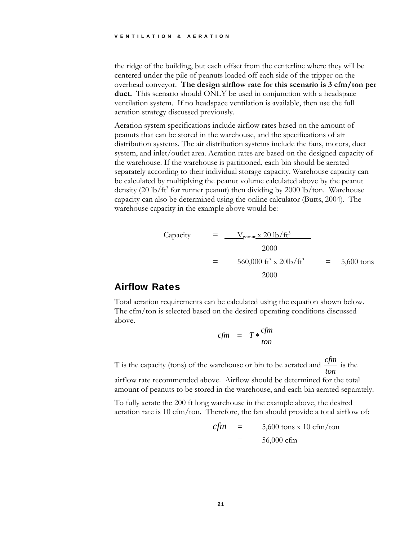the ridge of the building, but each offset from the centerline where they will be centered under the pile of peanuts loaded off each side of the tripper on the overhead conveyor. **The design airflow rate for this scenario is 3 cfm/ton per duct.** This scenario should ONLY be used in conjunction with a headspace ventilation system. If no headspace ventilation is available, then use the full aeration strategy discussed previously.

Aeration system specifications include airflow rates based on the amount of peanuts that can be stored in the warehouse, and the specifications of air distribution systems. The air distribution systems include the fans, motors, duct system, and inlet/outlet area. Aeration rates are based on the designed capacity of the warehouse. If the warehouse is partitioned, each bin should be aerated separately according to their individual storage capacity. Warehouse capacity can be calculated by multiplying the peanut volume calculated above by the peanut density (20 lb/ft<sup>3</sup> for runner peanut) then dividing by 2000 lb/ton. Warehouse capacity can also be determined using the online calculator (Butts, 2004). The warehouse capacity in the example above would be:

Capacity

\n
$$
= \frac{V_{\text{peanut}} \times 20 \, \text{lb/ft}^3}{2000}
$$
\n
$$
= \frac{560,000 \, \text{ft}^3 \times 20 \, \text{lb/ft}^3}{2000} = 5,600 \, \text{tons}
$$

#### Airflow Rates

Total aeration requirements can be calculated using the equation shown below. The cfm/ton is selected based on the desired operating conditions discussed above.

$$
cfm = T * \frac{cfm}{ton}
$$

T is the capacity (tons) of the warehouse or bin to be aerated and  $\frac{c}{tan}$ *cfm* is the

airflow rate recommended above. Airflow should be determined for the total amount of peanuts to be stored in the warehouse, and each bin aerated separately.

To fully aerate the 200 ft long warehouse in the example above, the desired aeration rate is 10 cfm/ton. Therefore, the fan should provide a total airflow of:

$$
cfm = 5,600 \text{ tons x } 10 \text{ cfm/ton}
$$

$$
= 56,000 \text{ cfm}
$$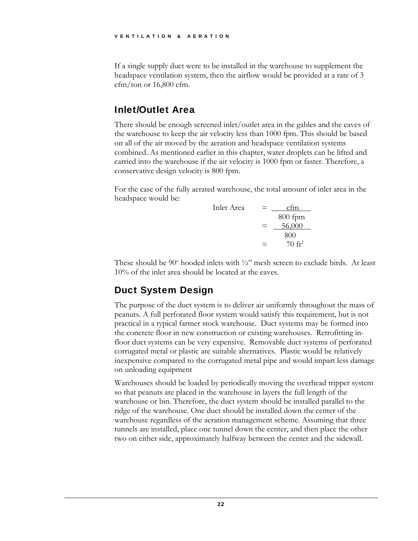If a single supply duct were to be installed in the warehouse to supplement the headspace ventilation system, then the airflow would be provided at a rate of 3  $cfm/ton$  or 16,800 cfm.

#### Inlet/Outlet Area

There should be enough screened inlet/outlet area in the gables and the eaves of the warehouse to keep the air velocity less than 1000 fpm. This should be based on all of the air moved by the aeration and headspace ventilation systems combined. As mentioned earlier in this chapter, water droplets can be lifted and carried into the warehouse if the air velocity is 1000 fpm or faster. Therefore, a conservative design velocity is 800 fpm.

For the case of the fully aerated warehouse, the total amount of inlet area in the headspace would be:

| Inlet Area | =                                       | $\frac{\text{cfm}}{\text{800 fpm}}$ |
|------------|-----------------------------------------|-------------------------------------|
| =          | $\frac{\text{56,000}}{\text{800}}$      |                                     |
| =          | $\frac{\text{70 ft}^2}{\text{70 ft}^2}$ |                                     |

These should be  $90^{\circ}$  hooded inlets with  $1/2$ " mesh screen to exclude birds. At least 10% of the inlet area should be located at the eaves.

## Duct System Design

The purpose of the duct system is to deliver air uniformly throughout the mass of peanuts. A full perforated floor system would satisfy this requirement, but is not practical in a typical farmer stock warehouse. Duct systems may be formed into the concrete floor in new construction or existing warehouses. Retrofitting infloor duct systems can be very expensive. Removable duct systems of perforated corrugated metal or plastic are suitable alternatives. Plastic would be relatively inexpensive compared to the corrugated metal pipe and would impart less damage on unloading equipment

Warehouses should be loaded by periodically moving the overhead tripper system so that peanuts are placed in the warehouse in layers the full length of the warehouse or bin. Therefore, the duct system should be installed parallel to the ridge of the warehouse. One duct should be installed down the center of the warehouse regardless of the aeration management scheme. Assuming that three tunnels are installed, place one tunnel down the center, and then place the other two on either side, approximately halfway between the center and the sidewall.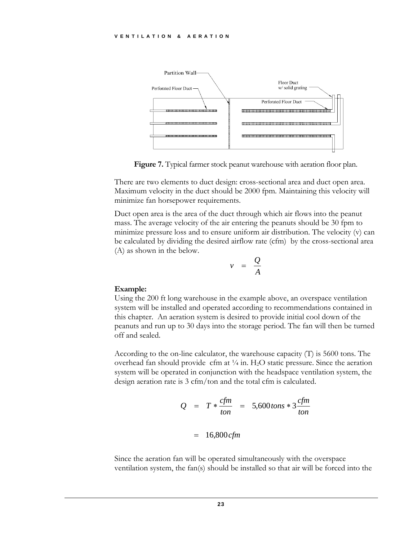

Figure 7. Typical farmer stock peanut warehouse with aeration floor plan.

There are two elements to duct design: cross-sectional area and duct open area. Maximum velocity in the duct should be 2000 fpm. Maintaining this velocity will minimize fan horsepower requirements.

Duct open area is the area of the duct through which air flows into the peanut mass. The average velocity of the air entering the peanuts should be 30 fpm to minimize pressure loss and to ensure uniform air distribution. The velocity (v) can be calculated by dividing the desired airflow rate (cfm) by the cross-sectional area (A) as shown in the below.



#### **Example:**

Using the 200 ft long warehouse in the example above, an overspace ventilation system will be installed and operated according to recommendations contained in this chapter. An aeration system is desired to provide initial cool down of the peanuts and run up to 30 days into the storage period. The fan will then be turned off and sealed.

According to the on-line calculator, the warehouse capacity (T) is 5600 tons. The overhead fan should provide cfm at  $\frac{1}{4}$  in. H<sub>2</sub>O static pressure. Since the aeration system will be operated in conjunction with the headspace ventilation system, the design aeration rate is 3 cfm/ton and the total cfm is calculated.

$$
Q = T * \frac{cfm}{ton} = 5,600 \text{ tons} * 3 \frac{cfm}{ton}
$$

$$
= 16,800 \text{ cfm}
$$

Since the aeration fan will be operated simultaneously with the overspace ventilation system, the fan(s) should be installed so that air will be forced into the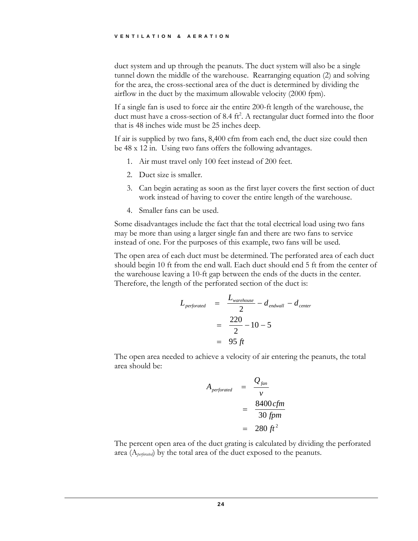duct system and up through the peanuts. The duct system will also be a single tunnel down the middle of the warehouse. Rearranging equation (2) and solving for the area, the cross-sectional area of the duct is determined by dividing the airflow in the duct by the maximum allowable velocity (2000 fpm).

If a single fan is used to force air the entire 200-ft length of the warehouse, the duct must have a cross-section of 8.4 ft<sup>2</sup>. A rectangular duct formed into the floor that is 48 inches wide must be 25 inches deep.

If air is supplied by two fans, 8,400 cfm from each end, the duct size could then be 48 x 12 in. Using two fans offers the following advantages.

- 1. Air must travel only 100 feet instead of 200 feet.
- 2. Duct size is smaller.
- 3. Can begin aerating as soon as the first layer covers the first section of duct work instead of having to cover the entire length of the warehouse.
- 4. Smaller fans can be used.

Some disadvantages include the fact that the total electrical load using two fans may be more than using a larger single fan and there are two fans to service instead of one. For the purposes of this example, two fans will be used.

The open area of each duct must be determined. The perforated area of each duct should begin 10 ft from the end wall. Each duct should end 5 ft from the center of the warehouse leaving a 10-ft gap between the ends of the ducts in the center. Therefore, the length of the perforated section of the duct is:

$$
L_{perforced} = \frac{L_{warehouse}}{2} - d_{endwall} - d_{center}
$$
  
= 
$$
\frac{220}{2} - 10 - 5
$$
  
= 95 ft

The open area needed to achieve a velocity of air entering the peanuts, the total area should be:

$$
A_{perforced} = \frac{Q_{fan}}{v}
$$
  
= 
$$
\frac{8400 \text{ cfm}}{30 \text{ fpm}}
$$
  
= 
$$
280 \text{ ft}^2
$$

The percent open area of the duct grating is calculated by dividing the perforated area (A*perforated*) by the total area of the duct exposed to the peanuts.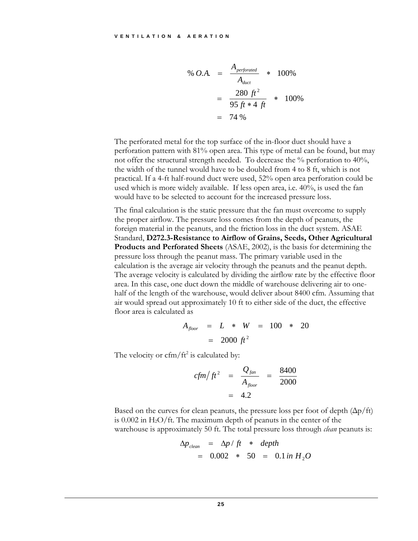% *O.A.* = 
$$
\frac{A_{perforced}}{A_{duct}} \times 100\%
$$
  
= 
$$
\frac{280 \text{ ft}^2}{95 \text{ ft} \times 4 \text{ ft}} \times 100\%
$$
  
= 74%

The perforated metal for the top surface of the in-floor duct should have a perforation pattern with 81% open area. This type of metal can be found, but may not offer the structural strength needed. To decrease the % perforation to 40%, the width of the tunnel would have to be doubled from 4 to 8 ft, which is not practical. If a 4-ft half-round duct were used, 52% open area perforation could be used which is more widely available. If less open area, i.e. 40%, is used the fan would have to be selected to account for the increased pressure loss.

The final calculation is the static pressure that the fan must overcome to supply the proper airflow. The pressure loss comes from the depth of peanuts, the foreign material in the peanuts, and the friction loss in the duct system. ASAE Standard, **D272.3-Resistance to Airflow of Grains, Seeds, Other Agricultural Products and Perforated Sheets** (ASAE, 2002), is the basis for determining the pressure loss through the peanut mass. The primary variable used in the calculation is the average air velocity through the peanuts and the peanut depth. The average velocity is calculated by dividing the airflow rate by the effective floor area. In this case, one duct down the middle of warehouse delivering air to onehalf of the length of the warehouse, would deliver about 8400 cfm. Assuming that air would spread out approximately 10 ft to either side of the duct, the effective floor area is calculated as

$$
A_{floor} = L * W = 100 * 20
$$
  
= 2000 ft<sup>2</sup>

The velocity or  $cfm/ft^2$  is calculated by:

$$
cfm/ft^2 = \frac{Q_{fan}}{A_{floor}} = \frac{8400}{2000}
$$

$$
= 4.2
$$

Based on the curves for clean peanuts, the pressure loss per foot of depth  $(\Delta p / ft)$ is  $0.002$  in H<sub>2</sub>O/ft. The maximum depth of peanuts in the center of the warehouse is approximately 50 ft. The total pressure loss through *clean* peanuts is:

$$
\Delta p_{clean} = \Delta p / ft * depth
$$
  
= 0.002 \* 50 = 0.1 in H<sub>2</sub>O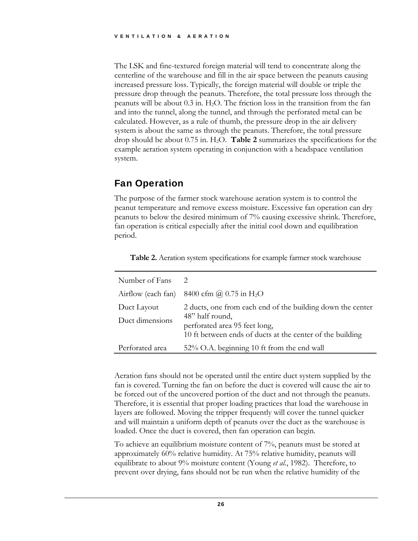The LSK and fine-textured foreign material will tend to concentrate along the centerline of the warehouse and fill in the air space between the peanuts causing increased pressure loss. Typically, the foreign material will double or triple the pressure drop through the peanuts. Therefore, the total pressure loss through the peanuts will be about  $0.3$  in. H<sub>2</sub>O. The friction loss in the transition from the fan and into the tunnel, along the tunnel, and through the perforated metal can be calculated. However, as a rule of thumb, the pressure drop in the air delivery system is about the same as through the peanuts. Therefore, the total pressure drop should be about 0.75 in. H2O. **Table 2** summarizes the specifications for the example aeration system operating in conjunction with a headspace ventilation system.

#### Fan Operation

The purpose of the farmer stock warehouse aeration system is to control the peanut temperature and remove excess moisture. Excessive fan operation can dry peanuts to below the desired minimum of 7% causing excessive shrink. Therefore, fan operation is critical especially after the initial cool down and equilibration period.

| Number of Fans                 | $\mathcal{D}$                                                                                                                                                               |
|--------------------------------|-----------------------------------------------------------------------------------------------------------------------------------------------------------------------------|
|                                | Airflow (each fan) 8400 cfm $\omega$ 0.75 in H <sub>2</sub> O                                                                                                               |
| Duct Layout<br>Duct dimensions | 2 ducts, one from each end of the building down the center<br>48" half round,<br>perforated area 95 feet long,<br>10 ft between ends of ducts at the center of the building |
| Perforated area                | 52% O.A. beginning 10 ft from the end wall                                                                                                                                  |

**Table 2.** Aeration system specifications for example farmer stock warehouse

Aeration fans should not be operated until the entire duct system supplied by the fan is covered. Turning the fan on before the duct is covered will cause the air to be forced out of the uncovered portion of the duct and not through the peanuts. Therefore, it is essential that proper loading practices that load the warehouse in layers are followed. Moving the tripper frequently will cover the tunnel quicker and will maintain a uniform depth of peanuts over the duct as the warehouse is loaded. Once the duct is covered, then fan operation can begin.

To achieve an equilibrium moisture content of 7%, peanuts must be stored at approximately 60% relative humidity. At 75% relative humidity, peanuts will equilibrate to about 9% moisture content (Young *et al.*, 1982). Therefore, to prevent over drying, fans should not be run when the relative humidity of the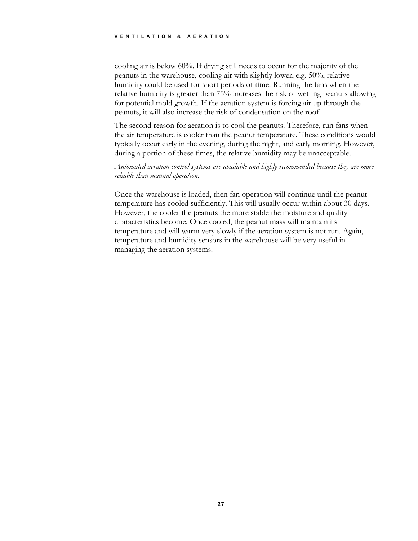cooling air is below 60%. If drying still needs to occur for the majority of the peanuts in the warehouse, cooling air with slightly lower, e.g. 50%, relative humidity could be used for short periods of time. Running the fans when the relative humidity is greater than 75% increases the risk of wetting peanuts allowing for potential mold growth. If the aeration system is forcing air up through the peanuts, it will also increase the risk of condensation on the roof.

The second reason for aeration is to cool the peanuts. Therefore, run fans when the air temperature is cooler than the peanut temperature. These conditions would typically occur early in the evening, during the night, and early morning. However, during a portion of these times, the relative humidity may be unacceptable.

*Automated aeration control systems are available and highly recommended because they are more reliable than manual operation*.

Once the warehouse is loaded, then fan operation will continue until the peanut temperature has cooled sufficiently. This will usually occur within about 30 days. However, the cooler the peanuts the more stable the moisture and quality characteristics become. Once cooled, the peanut mass will maintain its temperature and will warm very slowly if the aeration system is not run. Again, temperature and humidity sensors in the warehouse will be very useful in managing the aeration systems.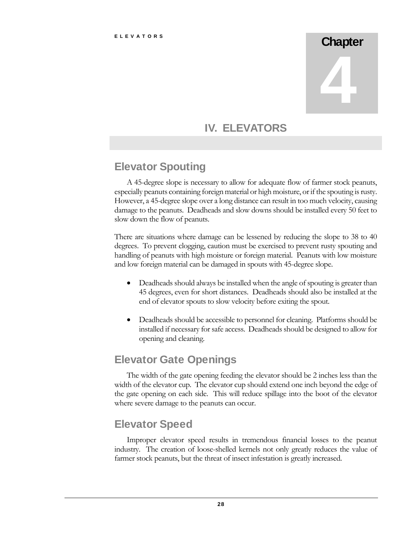# **Chapter** 4

### IV. ELEVATORS

# Elevator Spouting

A 45-degree slope is necessary to allow for adequate flow of farmer stock peanuts, especially peanuts containing foreign material or high moisture, or if the spouting is rusty. However, a 45-degree slope over a long distance can result in too much velocity, causing damage to the peanuts. Deadheads and slow downs should be installed every 50 feet to slow down the flow of peanuts.

There are situations where damage can be lessened by reducing the slope to 38 to 40 degrees. To prevent clogging, caution must be exercised to prevent rusty spouting and handling of peanuts with high moisture or foreign material. Peanuts with low moisture and low foreign material can be damaged in spouts with 45-degree slope.

- Deadheads should always be installed when the angle of spouting is greater than 45 degrees, even for short distances. Deadheads should also be installed at the end of elevator spouts to slow velocity before exiting the spout.
- Deadheads should be accessible to personnel for cleaning. Platforms should be installed if necessary for safe access. Deadheads should be designed to allow for opening and cleaning.

## Elevator Gate Openings

The width of the gate opening feeding the elevator should be 2 inches less than the width of the elevator cup. The elevator cup should extend one inch beyond the edge of the gate opening on each side. This will reduce spillage into the boot of the elevator where severe damage to the peanuts can occur.

## Elevator Speed

Improper elevator speed results in tremendous financial losses to the peanut industry. The creation of loose-shelled kernels not only greatly reduces the value of farmer stock peanuts, but the threat of insect infestation is greatly increased.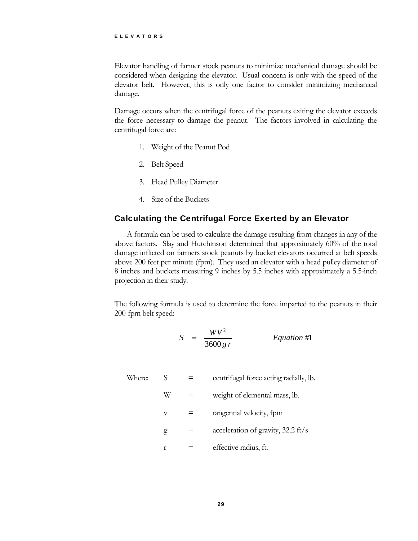Elevator handling of farmer stock peanuts to minimize mechanical damage should be considered when designing the elevator. Usual concern is only with the speed of the elevator belt. However, this is only one factor to consider minimizing mechanical damage.

Damage occurs when the centrifugal force of the peanuts exiting the elevator exceeds the force necessary to damage the peanut. The factors involved in calculating the centrifugal force are:

- 1. Weight of the Peanut Pod
- 2. Belt Speed
- 3. Head Pulley Diameter
- 4. Size of the Buckets

#### Calculating the Centrifugal Force Exerted by an Elevator

A formula can be used to calculate the damage resulting from changes in any of the above factors. Slay and Hutchinson determined that approximately 60% of the total damage inflicted on farmers stock peanuts by bucket elevators occurred at belt speeds above 200 feet per minute (fpm). They used an elevator with a head pulley diameter of 8 inches and buckets measuring 9 inches by 5.5 inches with approximately a 5.5-inch projection in their study.

The following formula is used to determine the force imparted to the peanuts in their 200-fpm belt speed:

$$
S = \frac{WV^2}{3600 \, gr} \qquad \qquad Equation \#1
$$

| Where: |            | centrifugal force acting radially, lb.       |
|--------|------------|----------------------------------------------|
|        | W          | weight of elemental mass, lb.                |
|        | $_{\rm V}$ | tangential velocity, fpm                     |
|        | g          | acceleration of gravity, $32.2 \text{ ft/s}$ |
|        |            | effective radius, ft.                        |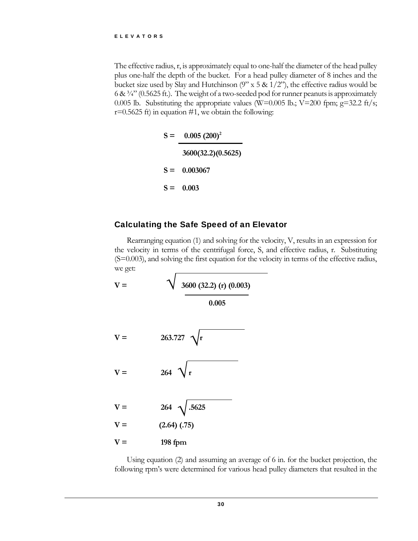The effective radius, r, is approximately equal to one-half the diameter of the head pulley plus one-half the depth of the bucket. For a head pulley diameter of 8 inches and the bucket size used by Slay and Hutchinson  $(9'' \times 5 \& 1/2'')$ , the effective radius would be 6 &  $\frac{3}{4}$ " (0.5625 ft.). The weight of a two-seeded pod for runner peanuts is approximately 0.005 lb. Substituting the appropriate values (W=0.005 lb.; V=200 fpm;  $g=32.2$  ft/s;  $r=0.5625$  ft) in equation #1, we obtain the following:

> $S = 0.005 (200)^2$  **3600(32.2)(0.5625) S = 0.003067 S = 0.003**

#### Calculating the Safe Speed of an Elevator

Rearranging equation (1) and solving for the velocity, V, results in an expression for the velocity in terms of the centrifugal force, S, and effective radius, r. Substituting (S=0.003), and solving the first equation for the velocity in terms of the effective radius, we get:



Using equation (2) and assuming an average of 6 in. for the bucket projection, the following rpm's were determined for various head pulley diameters that resulted in the

30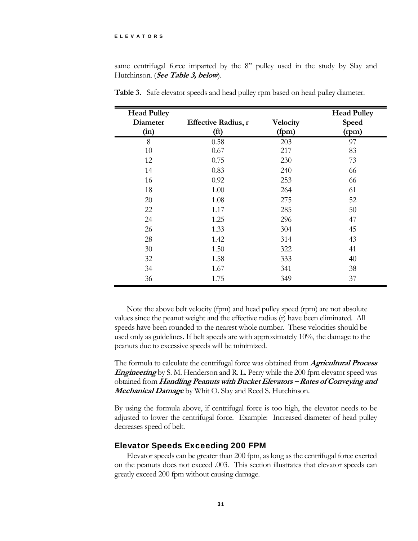#### ELEVATORS

same centrifugal force imparted by the 8" pulley used in the study by Slay and Hutchinson. (**See Table 3, below**).

| <b>Head Pulley</b> |                            |          | <b>Head Pulley</b> |
|--------------------|----------------------------|----------|--------------------|
| <b>Diameter</b>    | <b>Effective Radius, r</b> | Velocity | Speed              |
| (in)               | (ft)                       | (fpm)    | (rpm)              |
| 8                  | 0.58                       | 203      | 97                 |
| 10                 | 0.67                       | 217      | 83                 |
| 12                 | 0.75                       | 230      | 73                 |
| 14                 | 0.83                       | 240      | 66                 |
| 16                 | 0.92                       | 253      | 66                 |
| 18                 | 1.00                       | 264      | 61                 |
| 20                 | 1.08                       | 275      | 52                 |
| 22                 | 1.17                       | 285      | 50                 |
| 24                 | 1.25                       | 296      | 47                 |
| 26                 | 1.33                       | 304      | 45                 |
| 28                 | 1.42                       | 314      | 43                 |
| 30                 | 1.50                       | 322      | 41                 |
| 32                 | 1.58                       | 333      | 40                 |
| 34                 | 1.67                       | 341      | 38                 |
| 36                 | 1.75                       | 349      | 37                 |

**Table 3.** Safe elevator speeds and head pulley rpm based on head pulley diameter.

Note the above belt velocity (fpm) and head pulley speed (rpm) are not absolute values since the peanut weight and the effective radius (r) have been eliminated. All speeds have been rounded to the nearest whole number. These velocities should be used only as guidelines. If belt speeds are with approximately 10%, the damage to the peanuts due to excessive speeds will be minimized.

The formula to calculate the centrifugal force was obtained from **Agricultural Process Engineering** by S. M. Henderson and R. L. Perry while the 200 fpm elevator speed was obtained from **Handling Peanuts with Bucket Elevators – Rates of Conveying and Mechanical Damage** by Whit O. Slay and Reed S. Hutchinson.

By using the formula above, if centrifugal force is too high, the elevator needs to be adjusted to lower the centrifugal force. Example: Increased diameter of head pulley decreases speed of belt.

#### Elevator Speeds Exceeding 200 FPM

Elevator speeds can be greater than 200 fpm, as long as the centrifugal force exerted on the peanuts does not exceed .003. This section illustrates that elevator speeds can greatly exceed 200 fpm without causing damage.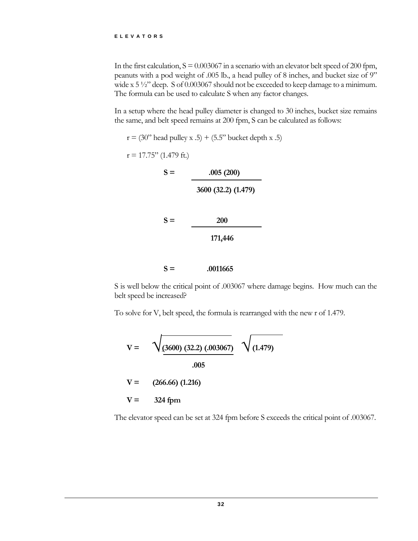In the first calculation,  $S = 0.003067$  in a scenario with an elevator belt speed of 200 fpm, peanuts with a pod weight of .005 lb., a head pulley of 8 inches, and bucket size of 9" wide x 5  $\frac{1}{2}$  deep. S of 0.003067 should not be exceeded to keep damage to a minimum. The formula can be used to calculate S when any factor changes.

In a setup where the head pulley diameter is changed to 30 inches, bucket size remains the same, and belt speed remains at 200 fpm, S can be calculated as follows:

```
r = (30" head pulley x .5) + (5.5" bucket depth x .5)
r = 17.75" (1.479 ft.)
          S = 0.005(200) 3600 (32.2) (1.479) 
          S = 200 171,446 
          S = 0.0011665
```
S is well below the critical point of .003067 where damage begins. How much can the belt speed be increased?

To solve for V, belt speed, the formula is rearranged with the new r of 1.479.

$$
V = \sqrt{\underbrace{(3600)(32.2)(.003067)}_{.005}}
$$
\n
$$
V = (266.66)(1.216)
$$
\n
$$
V = 324 \text{ fpm}
$$

The elevator speed can be set at 324 fpm before S exceeds the critical point of .003067.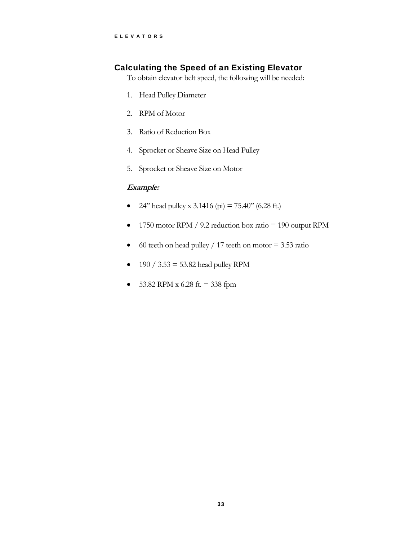#### Calculating the Speed of an Existing Elevator

To obtain elevator belt speed, the following will be needed:

- 1. Head Pulley Diameter
- 2. RPM of Motor
- 3. Ratio of Reduction Box
- 4. Sprocket or Sheave Size on Head Pulley
- 5. Sprocket or Sheave Size on Motor

#### **Example:**

- 24" head pulley x 3.1416 (pi) =  $75.40$ " (6.28 ft.)
- 1750 motor RPM / 9.2 reduction box ratio = 190 output RPM
- $\bullet$  60 teeth on head pulley / 17 teeth on motor = 3.53 ratio
- $190 / 3.53 = 53.82$  head pulley RPM
- $\bullet$  53.82 RPM x 6.28 ft. = 338 fpm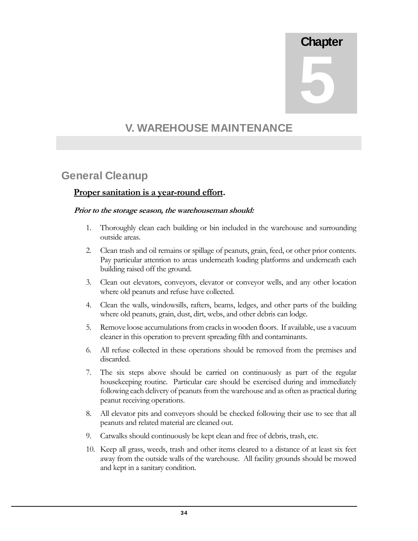# **Chapter**

5

## V. WAREHOUSE MAINTENANCE

#### General Cleanup

#### **Proper sanitation is a year-round effort.**

#### **Prior to the storage season, the warehouseman should:**

- 1. Thoroughly clean each building or bin included in the warehouse and surrounding outside areas.
- 2. Clean trash and oil remains or spillage of peanuts, grain, feed, or other prior contents. Pay particular attention to areas underneath loading platforms and underneath each building raised off the ground.
- 3. Clean out elevators, conveyors, elevator or conveyor wells, and any other location where old peanuts and refuse have collected.
- 4. Clean the walls, windowsills, rafters, beams, ledges, and other parts of the building where old peanuts, grain, dust, dirt, webs, and other debris can lodge.
- 5. Remove loose accumulations from cracks in wooden floors. If available, use a vacuum cleaner in this operation to prevent spreading filth and contaminants.
- 6. All refuse collected in these operations should be removed from the premises and discarded.
- 7. The six steps above should be carried on continuously as part of the regular housekeeping routine. Particular care should be exercised during and immediately following each delivery of peanuts from the warehouse and as often as practical during peanut receiving operations.
- 8. All elevator pits and conveyors should be checked following their use to see that all peanuts and related material are cleaned out.
- 9. Catwalks should continuously be kept clean and free of debris, trash, etc.
- 10. Keep all grass, weeds, trash and other items cleared to a distance of at least six feet away from the outside walls of the warehouse. All facility grounds should be mowed and kept in a sanitary condition.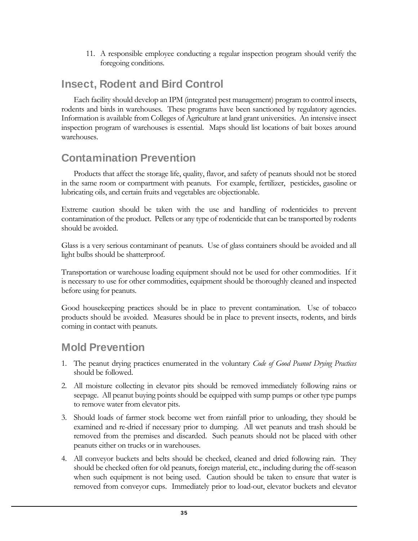11. A responsible employee conducting a regular inspection program should verify the foregoing conditions.

### Insect, Rodent and Bird Control

Each facility should develop an IPM (integrated pest management) program to control insects, rodents and birds in warehouses. These programs have been sanctioned by regulatory agencies. Information is available from Colleges of Agriculture at land grant universities. An intensive insect inspection program of warehouses is essential. Maps should list locations of bait boxes around warehouses.

#### Contamination Prevention

Products that affect the storage life, quality, flavor, and safety of peanuts should not be stored in the same room or compartment with peanuts. For example, fertilizer, pesticides, gasoline or lubricating oils, and certain fruits and vegetables are objectionable.

Extreme caution should be taken with the use and handling of rodenticides to prevent contamination of the product. Pellets or any type of rodenticide that can be transported by rodents should be avoided.

Glass is a very serious contaminant of peanuts. Use of glass containers should be avoided and all light bulbs should be shatterproof.

Transportation or warehouse loading equipment should not be used for other commodities. If it is necessary to use for other commodities, equipment should be thoroughly cleaned and inspected before using for peanuts.

Good housekeeping practices should be in place to prevent contamination. Use of tobacco products should be avoided. Measures should be in place to prevent insects, rodents, and birds coming in contact with peanuts.

#### Mold Prevention

- 1. The peanut drying practices enumerated in the voluntary *Code of Good Peanut Drying Practices*  should be followed.
- 2. All moisture collecting in elevator pits should be removed immediately following rains or seepage. All peanut buying points should be equipped with sump pumps or other type pumps to remove water from elevator pits.
- 3. Should loads of farmer stock become wet from rainfall prior to unloading, they should be examined and re-dried if necessary prior to dumping. All wet peanuts and trash should be removed from the premises and discarded. Such peanuts should not be placed with other peanuts either on trucks or in warehouses.
- 4. All conveyor buckets and belts should be checked, cleaned and dried following rain. They should be checked often for old peanuts, foreign material, etc., including during the off-season when such equipment is not being used. Caution should be taken to ensure that water is removed from conveyor cups. Immediately prior to load-out, elevator buckets and elevator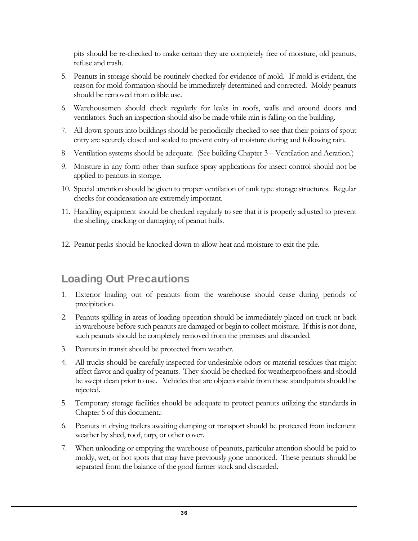pits should be re-checked to make certain they are completely free of moisture, old peanuts, refuse and trash.

- 5. Peanuts in storage should be routinely checked for evidence of mold. If mold is evident, the reason for mold formation should be immediately determined and corrected. Moldy peanuts should be removed from edible use.
- 6. Warehousemen should check regularly for leaks in roofs, walls and around doors and ventilators. Such an inspection should also be made while rain is falling on the building.
- 7. All down spouts into buildings should be periodically checked to see that their points of spout entry are securely closed and sealed to prevent entry of moisture during and following rain.
- 8. Ventilation systems should be adequate. (See building Chapter 3 Ventilation and Aeration.)
- 9. Moisture in any form other than surface spray applications for insect control should not be applied to peanuts in storage.
- 10. Special attention should be given to proper ventilation of tank type storage structures. Regular checks for condensation are extremely important.
- 11. Handling equipment should be checked regularly to see that it is properly adjusted to prevent the shelling, cracking or damaging of peanut hulls.
- 12. Peanut peaks should be knocked down to allow heat and moisture to exit the pile.

# Loading Out Precautions

- 1. Exterior loading out of peanuts from the warehouse should cease during periods of precipitation.
- 2. Peanuts spilling in areas of loading operation should be immediately placed on truck or back in warehouse before such peanuts are damaged or begin to collect moisture. If this is not done, such peanuts should be completely removed from the premises and discarded.
- 3. Peanuts in transit should be protected from weather.
- 4. All trucks should be carefully inspected for undesirable odors or material residues that might affect flavor and quality of peanuts. They should be checked for weatherproofness and should be swept clean prior to use. Vehicles that are objectionable from these standpoints should be rejected.
- 5. Temporary storage facilities should be adequate to protect peanuts utilizing the standards in Chapter 5 of this document.:
- 6. Peanuts in drying trailers awaiting dumping or transport should be protected from inclement weather by shed, roof, tarp, or other cover.
- 7. When unloading or emptying the warehouse of peanuts, particular attention should be paid to moldy, wet, or hot spots that may have previously gone unnoticed. These peanuts should be separated from the balance of the good farmer stock and discarded.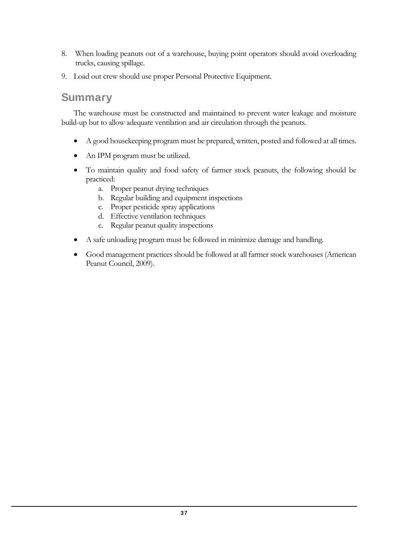- 8. When loading peanuts out of a warehouse, buying point operators should avoid overloading trucks, causing spillage.
- 9. Load out crew should use proper Personal Protective Equipment.

#### **Summary**

The warehouse must be constructed and maintained to prevent water leakage and moisture build-up but to allow adequate ventilation and air circulation through the peanuts.

- A good housekeeping program must be prepared, written, posted and followed at all times.
- An IPM program must be utilized.
- To maintain quality and food safety of farmer stock peanuts, the following should be practiced:
	- a. Proper peanut drying techniques
	- b. Regular building and equipment inspections
	- c. Proper pesticide spray applications
	- d. Effective ventilation techniques
	- e. Regular peanut quality inspections
- A safe unloading program must be followed in minimize damage and handling.
- Good management practices should be followed at all farmer stock warehouses (American Peanut Council, 2009).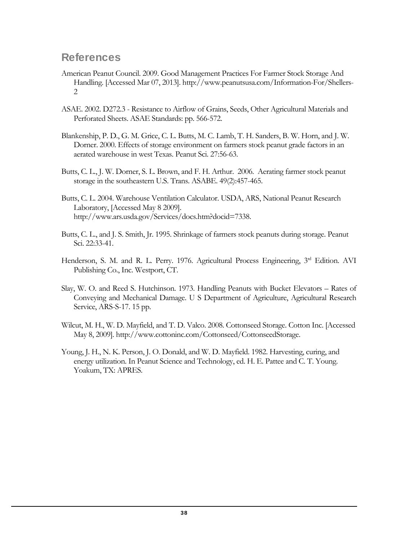#### **References**

- American Peanut Council. 2009. Good Management Practices For Farmer Stock Storage And Handling. [Accessed Mar 07, 2013]. http://www.peanutsusa.com/Information-For/Shellers-2
- ASAE. 2002. D272.3 Resistance to Airflow of Grains, Seeds, Other Agricultural Materials and Perforated Sheets. ASAE Standards: pp. 566-572.
- Blankenship, P. D., G. M. Grice, C. L. Butts, M. C. Lamb, T. H. Sanders, B. W. Horn, and J. W. Dorner. 2000. Effects of storage environment on farmers stock peanut grade factors in an aerated warehouse in west Texas. Peanut Sci. 27:56-63.
- Butts, C. L., J. W. Dorner, S. L. Brown, and F. H. Arthur. 2006. Aerating farmer stock peanut storage in the southeastern U.S. Trans. ASABE. 49(2):457-465.
- Butts, C. L. 2004. Warehouse Ventilation Calculator. USDA, ARS, National Peanut Research Laboratory, [Accessed May 8 2009]. http://www.ars.usda.gov/Services/docs.htm?docid=7338.
- Butts, C. L., and J. S. Smith, Jr. 1995. Shrinkage of farmers stock peanuts during storage. Peanut Sci. 22:33-41.
- Henderson, S. M. and R. L. Perry. 1976. Agricultural Process Engineering, 3<sup>rd</sup> Edition. AVI Publishing Co., Inc. Westport, CT.
- Slay, W. O. and Reed S. Hutchinson. 1973. Handling Peanuts with Bucket Elevators Rates of Conveying and Mechanical Damage. U S Department of Agriculture, Agricultural Research Service, ARS-S-17. 15 pp.
- Wilcut, M. H., W. D. Mayfield, and T. D. Valco. 2008. Cottonseed Storage. Cotton Inc. [Accessed May 8, 2009]. http://www.cottoninc.com/Cottonseed/CottonseedStorage.
- Young, J. H., N. K. Person, J. O. Donald, and W. D. Mayfield. 1982. Harvesting, curing, and energy utilization. In Peanut Science and Technology, ed. H. E. Pattee and C. T. Young. Yoakum, TX: APRES.